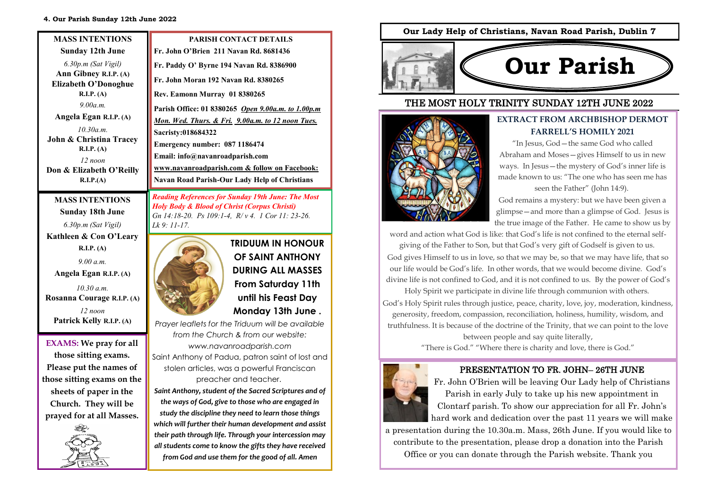#### **4. Our Parish Sunday 12th June 2022**

| <b>MASS INTENTIONS</b>                                       | <b>PARISH CONTACT DETAILS</b>                                                                                       |
|--------------------------------------------------------------|---------------------------------------------------------------------------------------------------------------------|
| <b>Sunday 12th June</b>                                      | Fr. John O'Brien 211 Navan Rd. 8681436                                                                              |
| $6.30p.m$ (Sat Vigil)                                        | Fr. Paddy O' Byrne 194 Navan Rd. 8386900                                                                            |
| Ann Gibney R.I.P. (A)<br><b>Elizabeth O'Donoghue</b>         | Fr. John Moran 192 Navan Rd. 8380265                                                                                |
| R.I.P. (A)                                                   | Rev. Eamonn Murray 01 8380265                                                                                       |
| 9.00a.m.                                                     | Parish Office: 01 8380265 Open 9.00a.m. to 1.00p.m                                                                  |
| Angela Egan R.I.P. (A)                                       | Mon. Wed. Thurs. & Fri. 9.00a.m. to 12 noon Tues.                                                                   |
| 10.30a.m.                                                    | Sacristy:018684322                                                                                                  |
| John & Christina Tracey<br>R.I.P. (A)                        | Emergency number: 087 1186474                                                                                       |
| $12$ noon                                                    | Email: info@navanroadparish.com                                                                                     |
| Don & Elizabeth O'Reilly                                     | www.navanroadparish.com & follow on Facebook:                                                                       |
| R.I.P.(A)                                                    | <b>Navan Road Parish-Our Lady Help of Christians</b>                                                                |
| <b>MASS INTENTIONS</b><br>$\sim$ $\sim$ $\sim$ $\sim$ $\sim$ | <b>Reading References for Sunday 19th June: The Most</b><br><b>Holy Body &amp; Blood of Christ (Corpus Christi)</b> |

**Sunday 18th June**  *6.30p.m (Sat Vigil)*  **Kathleen & Con O'Leary** 

**R.I.P. (A)**  *9.00 a.m.*  **Angela Egan R.I.P. (A)** *10.30 a.m.*

*12 noon*  **Patrick Kelly R.I.P. (A)** 



*Lk 9: 11-17.* 

**those sitting exams. Please put the names of those sitting exams on the sheets of paper in the Church. They will be prayed for at all Masses.**



**TRIDUUM IN HONOUR OF SAINT ANTHONY DURING ALL MASSES From Saturday 11th until his Feast Day Monday 13th June .** 

*Prayer leaflets for the Triduum will be available from the Church & from our website: www.navanroadparish.com* 

*Gn 14:18-20. Ps 109:1-4, R/ v 4. 1 Cor 11: 23-26.* 

Saint Anthony of Padua, patron saint of lost and stolen articles, was a powerful Franciscan preacher and teacher.

*Saint Anthony, student of the Sacred Scriptures and of the ways of God, give to those who are engaged in study the discipline they need to learn those things which will further their human development and assist their path through life. Through your intercession may all students come to know the gifts they have received from God and use them for the good of all. Amen*

## **Our Lady Help of Christians, Navan Road Parish, Dublin 7**



# THE MOST HOLY TRINITY SUNDAY 12TH JUNE 2022



# **EXTRACT FROM ARCHBISHOP DERMOT FARRELL'S HOMILY 2021**

"In Jesus, God—the same God who called Abraham and Moses—gives Himself to us in new ways. In Jesus—the mystery of God's inner life is made known to us: "The one who has seen me has seen the Father" (John 14:9).

God remains a mystery: but we have been given a glimpse—and more than a glimpse of God. Jesus is the true image of the Father. He came to show us by

word and action what God is like: that God's life is not confined to the eternal self-

giving of the Father to Son, but that God's very gift of Godself is given to us. God gives Himself to us in love, so that we may be, so that we may have life, that so our life would be God's life. In other words, that we would become divine. God's divine life is not confined to God, and it is not confined to us. By the power of God's

Holy Spirit we participate in divine life through communion with others. God's Holy Spirit rules through justice, peace, charity, love, joy, moderation, kindness, generosity, freedom, compassion, reconciliation, holiness, humility, wisdom, and truthfulness. It is because of the doctrine of the Trinity, that we can point to the love

between people and say quite literally, **EXAMS: We pray for all EXAMS: EXAMS: EXAMS: EXAMS: EXAMS: EXAMS: EXAMS: EXAMS: EXAMS: EXAMS: EXAMS: EXAMS: EXAMS: EXAMS: EXAMS: EXAMS: EXAMS: EXAMS: EXAMS: EXAMS: EXAMS: EXAMS:** 



## PRESENTATION TO FR. JOHN– 26TH JUNE

Fr. John O'Brien will be leaving Our Lady help of Christians Parish in early July to take up his new appointment in Clontarf parish. To show our appreciation for all Fr. John's hard work and dedication over the past 11 years we will make

a presentation during the 10.30a.m. Mass, 26th June. If you would like to contribute to the presentation, please drop a donation into the Parish Office or you can donate through the Parish website. Thank you